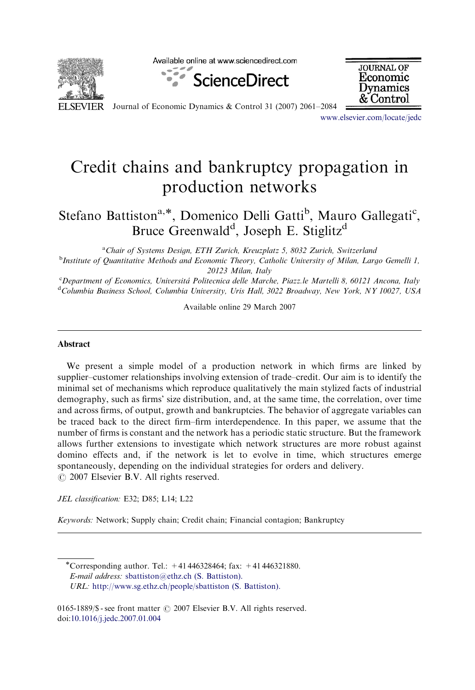

Available online at www.sciencedirect.com





ELSEVIER Journal of Economic Dynamics & Control 31 (2007) 2061-2084

<www.elsevier.com/locate/jedc>

# Credit chains and bankruptcy propagation in production networks

## Stefano Battiston<sup>a,\*</sup>, Domenico Delli Gatti<sup>b</sup>, Mauro Gallegati<sup>c</sup>, Bruce Greenwald<sup>d</sup>, Joseph E. Stiglitz<sup>d</sup>

<sup>a</sup>Chair of Systems Design, ETH Zurich, Kreuzplatz 5, 8032 Zurich, Switzerland

<sup>b</sup>Institute of Quantitative Methods and Economic Theory, Catholic University of Milan, Largo Gemelli 1, 20123 Milan, Italy

CDepartment of Economics, Universitá Politecnica delle Marche, Piazz.le Martelli 8, 60121 Ancona, Italy <sup>d</sup>Columbia Business School, Columbia University, Uris Hall, 3022 Broadway, New York, NY 10027, USA

Available online 29 March 2007

#### Abstract

We present a simple model of a production network in which firms are linked by supplier–customer relationships involving extension of trade–credit. Our aim is to identify the minimal set of mechanisms which reproduce qualitatively the main stylized facts of industrial demography, such as firms' size distribution, and, at the same time, the correlation, over time and across firms, of output, growth and bankruptcies. The behavior of aggregate variables can be traced back to the direct firm–firm interdependence. In this paper, we assume that the number of firms is constant and the network has a periodic static structure. But the framework allows further extensions to investigate which network structures are more robust against domino effects and, if the network is let to evolve in time, which structures emerge spontaneously, depending on the individual strategies for orders and delivery.  $O$  2007 Elsevier B.V. All rights reserved.

JEL classification: E32; D85; L14; L22

Keywords: Network; Supply chain; Credit chain; Financial contagion; Bankruptcy

<sup>-</sup>Corresponding author. Tel.: +41 446328464; fax: +41 446321880. E-mail address: [sbattiston@ethz.ch \(S. Battiston\).](mailto:sbattiston@ethz.ch) URL: [http://www.sg.ethz.ch/people/sbattiston \(S. Battiston\).](http://www.sg.ethz.ch/people/sbattiston)

<sup>0165-1889/\$ -</sup> see front matter  $\odot$  2007 Elsevier B.V. All rights reserved. doi:[10.1016/j.jedc.2007.01.004](dx.doi.org/10.1016/j.jedc.2007.01.004)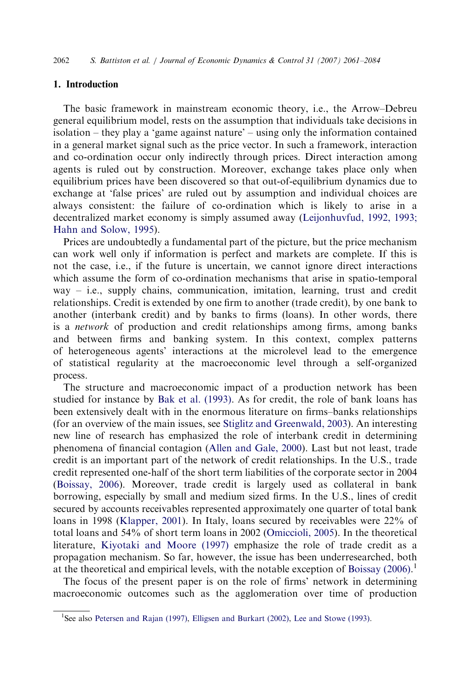## 1. Introduction

The basic framework in mainstream economic theory, i.e., the Arrow–Debreu general equilibrium model, rests on the assumption that individuals take decisions in isolation – they play a 'game against nature' – using only the information contained in a general market signal such as the price vector. In such a framework, interaction and co-ordination occur only indirectly through prices. Direct interaction among agents is ruled out by construction. Moreover, exchange takes place only when equilibrium prices have been discovered so that out-of-equilibrium dynamics due to exchange at 'false prices' are ruled out by assumption and individual choices are always consistent: the failure of co-ordination which is likely to arise in a decentralized market economy is simply assumed away [\(Leijonhuvfud, 1992, 1993;](#page-23-0) [Hahn and Solow, 1995\)](#page-23-0).

Prices are undoubtedly a fundamental part of the picture, but the price mechanism can work well only if information is perfect and markets are complete. If this is not the case, i.e., if the future is uncertain, we cannot ignore direct interactions which assume the form of co-ordination mechanisms that arise in spatio-temporal way  $-$  i.e., supply chains, communication, imitation, learning, trust and credit relationships. Credit is extended by one firm to another (trade credit), by one bank to another (interbank credit) and by banks to firms (loans). In other words, there is a network of production and credit relationships among firms, among banks and between firms and banking system. In this context, complex patterns of heterogeneous agents' interactions at the microlevel lead to the emergence of statistical regularity at the macroeconomic level through a self-organized process.

The structure and macroeconomic impact of a production network has been studied for instance by [Bak et al. \(1993\)](#page-22-0). As for credit, the role of bank loans has been extensively dealt with in the enormous literature on firms–banks relationships (for an overview of the main issues, see [Stiglitz and Greenwald, 2003](#page-23-0)). An interesting new line of research has emphasized the role of interbank credit in determining phenomena of financial contagion ([Allen and Gale, 2000](#page-22-0)). Last but not least, trade credit is an important part of the network of credit relationships. In the U.S., trade credit represented one-half of the short term liabilities of the corporate sector in 2004 ([Boissay, 2006](#page-22-0)). Moreover, trade credit is largely used as collateral in bank borrowing, especially by small and medium sized firms. In the U.S., lines of credit secured by accounts receivables represented approximately one quarter of total bank loans in 1998 ([Klapper, 2001](#page-23-0)). In Italy, loans secured by receivables were 22% of total loans and 54% of short term loans in 2002 ([Omiccioli, 2005](#page-23-0)). In the theoretical literature, [Kiyotaki and Moore \(1997\)](#page-23-0) emphasize the role of trade credit as a propagation mechanism. So far, however, the issue has been underresearched, both at the theoretical and empirical levels, with the notable exception of [Boissay \(2006\).](#page-22-0)<sup>1</sup>

The focus of the present paper is on the role of firms' network in determining macroeconomic outcomes such as the agglomeration over time of production

<sup>&</sup>lt;sup>1</sup>See also [Petersen and Rajan \(1997\),](#page-23-0) [Elligsen and Burkart \(2002\),](#page-22-0) [Lee and Stowe \(1993\)](#page-23-0).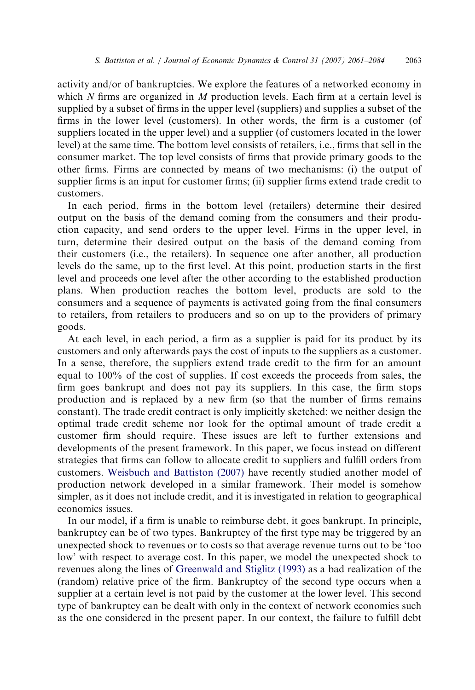activity and/or of bankruptcies. We explore the features of a networked economy in which  $N$  firms are organized in  $M$  production levels. Each firm at a certain level is supplied by a subset of firms in the upper level (suppliers) and supplies a subset of the firms in the lower level (customers). In other words, the firm is a customer (of suppliers located in the upper level) and a supplier (of customers located in the lower level) at the same time. The bottom level consists of retailers, i.e., firms that sell in the consumer market. The top level consists of firms that provide primary goods to the other firms. Firms are connected by means of two mechanisms: (i) the output of supplier firms is an input for customer firms; (ii) supplier firms extend trade credit to customers.

In each period, firms in the bottom level (retailers) determine their desired output on the basis of the demand coming from the consumers and their production capacity, and send orders to the upper level. Firms in the upper level, in turn, determine their desired output on the basis of the demand coming from their customers (i.e., the retailers). In sequence one after another, all production levels do the same, up to the first level. At this point, production starts in the first level and proceeds one level after the other according to the established production plans. When production reaches the bottom level, products are sold to the consumers and a sequence of payments is activated going from the final consumers to retailers, from retailers to producers and so on up to the providers of primary goods.

At each level, in each period, a firm as a supplier is paid for its product by its customers and only afterwards pays the cost of inputs to the suppliers as a customer. In a sense, therefore, the suppliers extend trade credit to the firm for an amount equal to 100% of the cost of supplies. If cost exceeds the proceeds from sales, the firm goes bankrupt and does not pay its suppliers. In this case, the firm stops production and is replaced by a new firm (so that the number of firms remains constant). The trade credit contract is only implicitly sketched: we neither design the optimal trade credit scheme nor look for the optimal amount of trade credit a customer firm should require. These issues are left to further extensions and developments of the present framework. In this paper, we focus instead on different strategies that firms can follow to allocate credit to suppliers and fulfill orders from customers. [Weisbuch and Battiston \(2007\)](#page-23-0) have recently studied another model of production network developed in a similar framework. Their model is somehow simpler, as it does not include credit, and it is investigated in relation to geographical economics issues.

In our model, if a firm is unable to reimburse debt, it goes bankrupt. In principle, bankruptcy can be of two types. Bankruptcy of the first type may be triggered by an unexpected shock to revenues or to costs so that average revenue turns out to be 'too low' with respect to average cost. In this paper, we model the unexpected shock to revenues along the lines of [Greenwald and Stiglitz \(1993\)](#page-22-0) as a bad realization of the (random) relative price of the firm. Bankruptcy of the second type occurs when a supplier at a certain level is not paid by the customer at the lower level. This second type of bankruptcy can be dealt with only in the context of network economies such as the one considered in the present paper. In our context, the failure to fulfill debt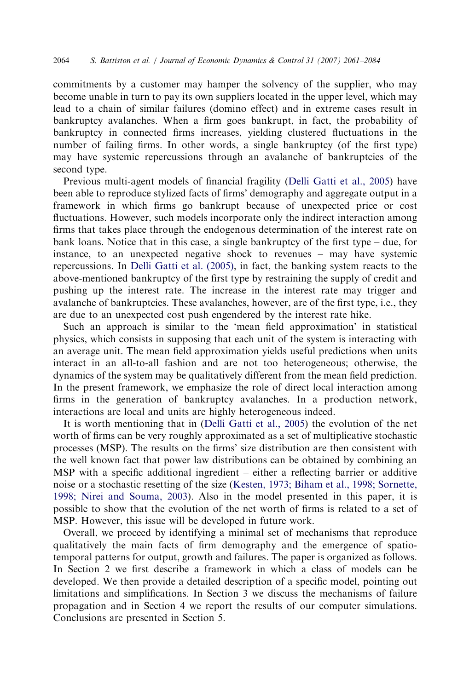commitments by a customer may hamper the solvency of the supplier, who may become unable in turn to pay its own suppliers located in the upper level, which may lead to a chain of similar failures (domino effect) and in extreme cases result in bankruptcy avalanches. When a firm goes bankrupt, in fact, the probability of bankruptcy in connected firms increases, yielding clustered fluctuations in the number of failing firms. In other words, a single bankruptcy (of the first type) may have systemic repercussions through an avalanche of bankruptcies of the second type.

Previous multi-agent models of financial fragility [\(Delli Gatti et al., 2005\)](#page-22-0) have been able to reproduce stylized facts of firms' demography and aggregate output in a framework in which firms go bankrupt because of unexpected price or cost fluctuations. However, such models incorporate only the indirect interaction among firms that takes place through the endogenous determination of the interest rate on bank loans. Notice that in this case, a single bankruptcy of the first type – due, for instance, to an unexpected negative shock to revenues – may have systemic repercussions. In [Delli Gatti et al. \(2005\)](#page-22-0), in fact, the banking system reacts to the above-mentioned bankruptcy of the first type by restraining the supply of credit and pushing up the interest rate. The increase in the interest rate may trigger and avalanche of bankruptcies. These avalanches, however, are of the first type, i.e., they are due to an unexpected cost push engendered by the interest rate hike.

Such an approach is similar to the 'mean field approximation' in statistical physics, which consists in supposing that each unit of the system is interacting with an average unit. The mean field approximation yields useful predictions when units interact in an all-to-all fashion and are not too heterogeneous; otherwise, the dynamics of the system may be qualitatively different from the mean field prediction. In the present framework, we emphasize the role of direct local interaction among firms in the generation of bankruptcy avalanches. In a production network, interactions are local and units are highly heterogeneous indeed.

It is worth mentioning that in [\(Delli Gatti et al., 2005](#page-22-0)) the evolution of the net worth of firms can be very roughly approximated as a set of multiplicative stochastic processes (MSP). The results on the firms' size distribution are then consistent with the well known fact that power law distributions can be obtained by combining an MSP with a specific additional ingredient – either a reflecting barrier or additive noise or a stochastic resetting of the size ([Kesten, 1973; Biham et al., 1998; Sornette,](#page-23-0) [1998; Nirei and Souma, 2003\)](#page-23-0). Also in the model presented in this paper, it is possible to show that the evolution of the net worth of firms is related to a set of MSP. However, this issue will be developed in future work.

Overall, we proceed by identifying a minimal set of mechanisms that reproduce qualitatively the main facts of firm demography and the emergence of spatiotemporal patterns for output, growth and failures. The paper is organized as follows. In Section 2 we first describe a framework in which a class of models can be developed. We then provide a detailed description of a specific model, pointing out limitations and simplifications. In Section 3 we discuss the mechanisms of failure propagation and in Section 4 we report the results of our computer simulations. Conclusions are presented in Section 5.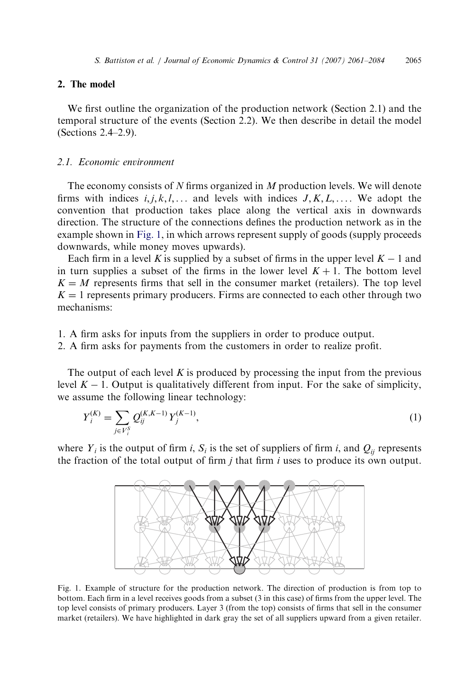## <span id="page-4-0"></span>2. The model

We first outline the organization of the production network (Section 2.1) and the temporal structure of the events (Section 2.2). We then describe in detail the model (Sections 2.4–2.9).

#### 2.1. Economic environment

The economy consists of  $N$  firms organized in  $M$  production levels. We will denote firms with indices  $i, j, k, l, \ldots$  and levels with indices  $J, K, L, \ldots$ . We adopt the convention that production takes place along the vertical axis in downwards direction. The structure of the connections defines the production network as in the example shown in Fig. 1, in which arrows represent supply of goods (supply proceeds downwards, while money moves upwards).

Each firm in a level K is supplied by a subset of firms in the upper level  $K - 1$  and in turn supplies a subset of the firms in the lower level  $K + 1$ . The bottom level  $K = M$  represents firms that sell in the consumer market (retailers). The top level  $K = 1$  represents primary producers. Firms are connected to each other through two mechanisms:

1. A firm asks for inputs from the suppliers in order to produce output.

2. A firm asks for payments from the customers in order to realize profit.

The output of each level  $K$  is produced by processing the input from the previous level  $K - 1$ . Output is qualitatively different from input. For the sake of simplicity, we assume the following linear technology:

$$
Y_i^{(K)} = \sum_{j \in V_i^S} Q_{ij}^{(K, K-1)} Y_j^{(K-1)},\tag{1}
$$

where  $Y_i$  is the output of firm i,  $S_i$  is the set of suppliers of firm i, and  $Q_{ii}$  represents the fraction of the total output of firm  $j$  that firm  $i$  uses to produce its own output.



Fig. 1. Example of structure for the production network. The direction of production is from top to bottom. Each firm in a level receives goods from a subset (3 in this case) of firms from the upper level. The top level consists of primary producers. Layer 3 (from the top) consists of firms that sell in the consumer market (retailers). We have highlighted in dark gray the set of all suppliers upward from a given retailer.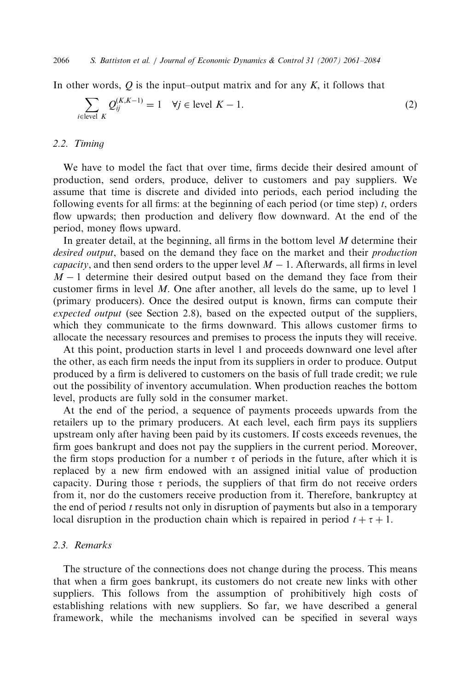In other words,  $\hat{O}$  is the input–output matrix and for any  $K$ , it follows that

$$
\sum_{i \in \text{level } K} Q_{ij}^{(K, K-1)} = 1 \quad \forall j \in \text{level } K - 1. \tag{2}
$$

## 2.2. Timing

We have to model the fact that over time, firms decide their desired amount of production, send orders, produce, deliver to customers and pay suppliers. We assume that time is discrete and divided into periods, each period including the following events for all firms: at the beginning of each period (or time step)  $t$ , orders flow upwards; then production and delivery flow downward. At the end of the period, money flows upward.

In greater detail, at the beginning, all firms in the bottom level  $M$  determine their desired output, based on the demand they face on the market and their *production capacity*, and then send orders to the upper level  $M-1$ . Afterwards, all firms in level  $M-1$  determine their desired output based on the demand they face from their customer firms in level  $M$ . One after another, all levels do the same, up to level 1 (primary producers). Once the desired output is known, firms can compute their expected output (see Section 2.8), based on the expected output of the suppliers, which they communicate to the firms downward. This allows customer firms to allocate the necessary resources and premises to process the inputs they will receive.

At this point, production starts in level 1 and proceeds downward one level after the other, as each firm needs the input from its suppliers in order to produce. Output produced by a firm is delivered to customers on the basis of full trade credit; we rule out the possibility of inventory accumulation. When production reaches the bottom level, products are fully sold in the consumer market.

At the end of the period, a sequence of payments proceeds upwards from the retailers up to the primary producers. At each level, each firm pays its suppliers upstream only after having been paid by its customers. If costs exceeds revenues, the firm goes bankrupt and does not pay the suppliers in the current period. Moreover, the firm stops production for a number  $\tau$  of periods in the future, after which it is replaced by a new firm endowed with an assigned initial value of production capacity. During those  $\tau$  periods, the suppliers of that firm do not receive orders from it, nor do the customers receive production from it. Therefore, bankruptcy at the end of period  $t$  results not only in disruption of payments but also in a temporary local disruption in the production chain which is repaired in period  $t + \tau + 1$ .

## 2.3. Remarks

The structure of the connections does not change during the process. This means that when a firm goes bankrupt, its customers do not create new links with other suppliers. This follows from the assumption of prohibitively high costs of establishing relations with new suppliers. So far, we have described a general framework, while the mechanisms involved can be specified in several ways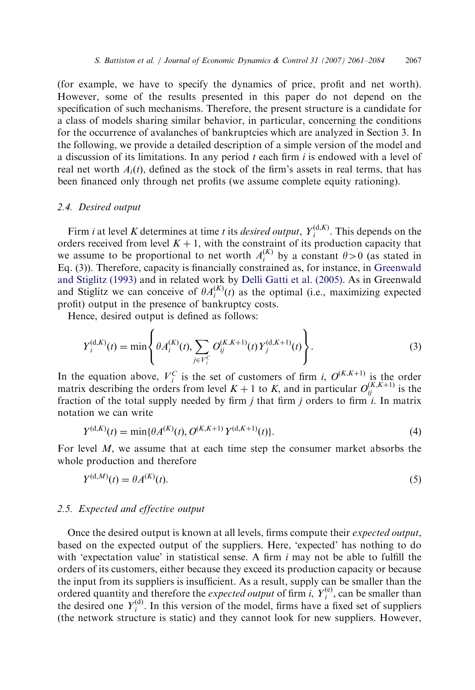(for example, we have to specify the dynamics of price, profit and net worth). However, some of the results presented in this paper do not depend on the specification of such mechanisms. Therefore, the present structure is a candidate for a class of models sharing similar behavior, in particular, concerning the conditions for the occurrence of avalanches of bankruptcies which are analyzed in Section 3. In the following, we provide a detailed description of a simple version of the model and a discussion of its limitations. In any period  $t$  each firm  $i$  is endowed with a level of real net worth  $A_i(t)$ , defined as the stock of the firm's assets in real terms, that has been financed only through net profits (we assume complete equity rationing).

#### 2.4. Desired output

Firm *i* at level K determines at time *t* its *desired output*,  $Y_i^{(d,K)}$ . This depends on the orders received from level  $K + 1$ , with the constraint of its production capacity that we assume to be proportional to net worth  $A_i^{(K)}$  by a constant  $\theta > 0$  (as stated in Eq. (3)). Therefore, capacity is financially constrained as, for instance, in [Greenwald](#page-22-0) [and Stiglitz \(1993\)](#page-22-0) and in related work by [Delli Gatti et al. \(2005\).](#page-22-0) As in Greenwald and Stiglitz we can conceive of  $\theta A_i^{(K)}(t)$  as the optimal (i.e., maximizing expected profit) output in the presence of bankruptcy costs.

Hence, desired output is defined as follows:

$$
Y_i^{(d,K)}(t) = \min \left\{ \theta A_i^{(K)}(t), \sum_{j \in V_i^C} O_{ij}^{(K,K+1)}(t) Y_j^{(d,K+1)}(t) \right\}.
$$
 (3)

In the equation above,  $V_i^C$  is the set of customers of firm i,  $O^{(K,K+1)}$  is the order matrix describing the orders from level  $K + 1$  to K, and in particular  $O_{ij}^{(K,K+1)}$  is the fraction of the total supply needed by firm  $i$  that firm  $i$  orders to firm  $i$ . In matrix notation we can write

$$
Y^{(d,K)}(t) = \min\{\theta A^{(K)}(t), O^{(K,K+1)}Y^{(d,K+1)}(t)\}.
$$
\n(4)

For level M, we assume that at each time step the consumer market absorbs the whole production and therefore

$$
Y^{(\mathbf{d},M)}(t) = \theta A^{(K)}(t). \tag{5}
$$

#### 2.5. Expected and effective output

Once the desired output is known at all levels, firms compute their expected output, based on the expected output of the suppliers. Here, 'expected' has nothing to do with 'expectation value' in statistical sense. A firm  $i$  may not be able to fulfill the orders of its customers, either because they exceed its production capacity or because the input from its suppliers is insufficient. As a result, supply can be smaller than the ordered quantity and therefore the *expected output* of firm *i*,  $Y_i^{(e)}$ , can be smaller than the desired one  $Y_i^{(d)}$ . In this version of the model, firms have a fixed set of suppliers (the network structure is static) and they cannot look for new suppliers. However,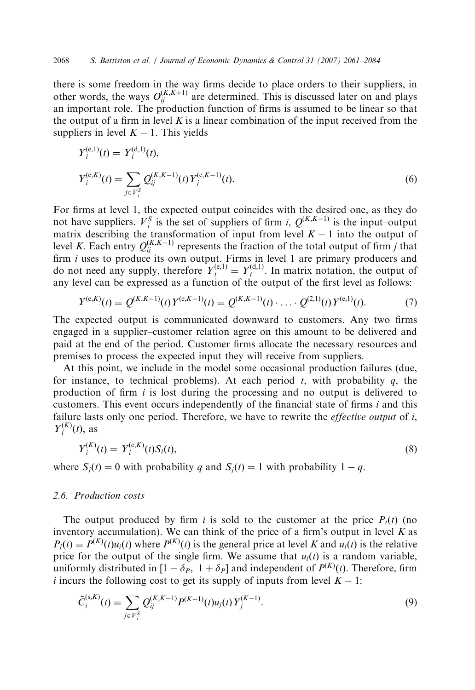there is some freedom in the way firms decide to place orders to their suppliers, in other words, the ways  $O^{(K,K+1)}_{ij}$  are determined. This is discussed later on and plays an important role. The production function of firms is assumed to be linear so that the output of a firm in level  $K$  is a linear combination of the input received from the suppliers in level  $K - 1$ . This yields

$$
Y_i^{(e,1)}(t) = Y_i^{(d,1)}(t),
$$
  
\n
$$
Y_i^{(e,K)}(t) = \sum_{j \in V_i^S} Q_{ij}^{(K,K-1)}(t) Y_j^{(e,K-1)}(t).
$$
\n(6)

For firms at level 1, the expected output coincides with the desired one, as they do not have suppliers.  $V_i^S$  is the set of suppliers of firm i,  $Q^{(K,K-1)}$  is the input-output matrix describing the transformation of input from level  $K-1$  into the output of level K. Each entry  $Q_{ij}^{(K,K-1)}$  represents the fraction of the total output of firm j that firm  $i$  uses to produce its own output. Firms in level 1 are primary producers and do not need any supply, therefore  $Y_i^{(e,1)} = Y_i^{(d,1)}$ . In matrix notation, the output of any level can be expressed as a function of the output of the first level as follows:

$$
Y^{(e,K)}(t) = Q^{(K,K-1)}(t) Y^{(e,K-1)}(t) = Q^{(K,K-1)}(t) \cdot \ldots \cdot Q^{(2,1)}(t) Y^{(e,1)}(t). \tag{7}
$$

The expected output is communicated downward to customers. Any two firms engaged in a supplier–customer relation agree on this amount to be delivered and paid at the end of the period. Customer firms allocate the necessary resources and premises to process the expected input they will receive from suppliers.

At this point, we include in the model some occasional production failures (due, for instance, to technical problems). At each period t, with probability q, the production of firm i is lost during the processing and no output is delivered to customers. This event occurs independently of the financial state of firms i and this failure lasts only one period. Therefore, we have to rewrite the *effective output* of  $i$ ,  $Y_i^{(K)}(t)$ , as

$$
Y_i^{(K)}(t) = Y_i^{(e,K)}(t)S_i(t),
$$
\n(8)

where  $S_j(t) = 0$  with probability q and  $S_j(t) = 1$  with probability  $1 - q$ .

## 2.6. Production costs

The output produced by firm i is sold to the customer at the price  $P_i(t)$  (no inventory accumulation). We can think of the price of a firm's output in level  $K$  as  $P_i(t) = P^{(K)}(t)u_i(t)$  where  $P^{(K)}(t)$  is the general price at level K and  $u_i(t)$  is the relative price for the output of the single firm. We assume that  $u_i(t)$  is a random variable, uniformly distributed in  $[1 - \delta_P, 1 + \delta_P]$  and independent of  $P^{(K)}(t)$ . Therefore, firm i incurs the following cost to get its supply of inputs from level  $K - 1$ :

$$
\tilde{C}_i^{(s,K)}(t) = \sum_{j \in V_i^S} Q_{ij}^{(K,K-1)} P^{(K-1)}(t) u_j(t) Y_j^{(K-1)}.
$$
\n(9)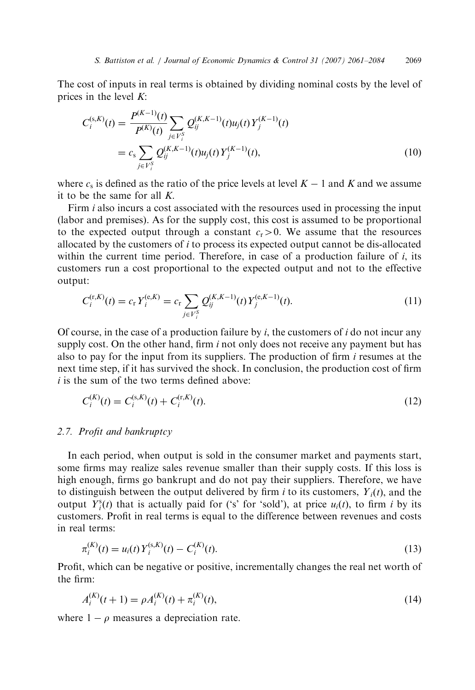The cost of inputs in real terms is obtained by dividing nominal costs by the level of prices in the level  $K$ :

$$
C_i^{(s,K)}(t) = \frac{P^{(K-1)}(t)}{P^{(K)}(t)} \sum_{j \in V_j^S} Q_{ij}^{(K,K-1)}(t) u_j(t) Y_j^{(K-1)}(t)
$$
  
= 
$$
c_s \sum_{j \in V_j^S} Q_{ij}^{(K,K-1)}(t) u_j(t) Y_j^{(K-1)}(t),
$$
 (10)

where  $c_s$  is defined as the ratio of the price levels at level  $K-1$  and K and we assume it to be the same for all  $K$ .

Firm  $i$  also incurs a cost associated with the resources used in processing the input (labor and premises). As for the supply cost, this cost is assumed to be proportional to the expected output through a constant  $c_r > 0$ . We assume that the resources allocated by the customers of i to process its expected output cannot be dis-allocated within the current time period. Therefore, in case of a production failure of  $i$ , its customers run a cost proportional to the expected output and not to the effective output:

$$
C_i^{(\mathbf{r},K)}(t) = c_\mathbf{r} Y_i^{(\mathbf{e},K)} = c_\mathbf{r} \sum_{j \in V_i^S} Q_{ij}^{(K,K-1)}(t) Y_j^{(\mathbf{e},K-1)}(t).
$$
\n(11)

Of course, in the case of a production failure by i, the customers of i do not incur any supply cost. On the other hand, firm  $i$  not only does not receive any payment but has also to pay for the input from its suppliers. The production of firm i resumes at the next time step, if it has survived the shock. In conclusion, the production cost of firm  $i$  is the sum of the two terms defined above:

$$
C_i^{(K)}(t) = C_i^{(s,K)}(t) + C_i^{(r,K)}(t). \tag{12}
$$

## 2.7. Profit and bankruptcy

In each period, when output is sold in the consumer market and payments start, some firms may realize sales revenue smaller than their supply costs. If this loss is high enough, firms go bankrupt and do not pay their suppliers. Therefore, we have to distinguish between the output delivered by firm i to its customers,  $Y_i(t)$ , and the output  $Y_i^s(t)$  that is actually paid for ('s' for 'sold'), at price  $u_i(t)$ , to firm i by its customers. Profit in real terms is equal to the difference between revenues and costs in real terms:

$$
\pi_i^{(K)}(t) = u_i(t) Y_i^{(s,K)}(t) - C_i^{(K)}(t). \tag{13}
$$

Profit, which can be negative or positive, incrementally changes the real net worth of the firm:

$$
A_i^{(K)}(t+1) = \rho A_i^{(K)}(t) + \pi_i^{(K)}(t),\tag{14}
$$

where  $1 - \rho$  measures a depreciation rate.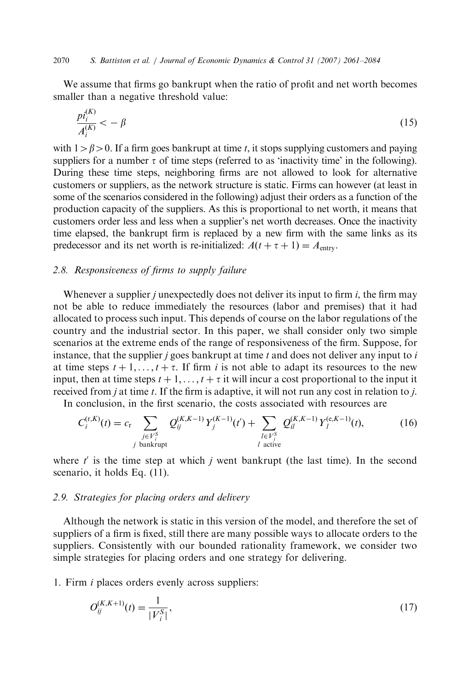We assume that firms go bankrupt when the ratio of profit and net worth becomes smaller than a negative threshold value:

$$
\frac{pt_i^{(K)}}{A_i^{(K)}} < -\beta \tag{15}
$$

with  $1>\beta>0$ . If a firm goes bankrupt at time t, it stops supplying customers and paying suppliers for a number  $\tau$  of time steps (referred to as 'inactivity time' in the following). During these time steps, neighboring firms are not allowed to look for alternative customers or suppliers, as the network structure is static. Firms can however (at least in some of the scenarios considered in the following) adjust their orders as a function of the production capacity of the suppliers. As this is proportional to net worth, it means that customers order less and less when a supplier's net worth decreases. Once the inactivity time elapsed, the bankrupt firm is replaced by a new firm with the same links as its predecessor and its net worth is re-initialized:  $A(t + \tau + 1) = A_{\text{entry}}$ .

## 2.8. Responsiveness of firms to supply failure

Whenever a supplier j unexpectedly does not deliver its input to firm  $i$ , the firm may not be able to reduce immediately the resources (labor and premises) that it had allocated to process such input. This depends of course on the labor regulations of the country and the industrial sector. In this paper, we shall consider only two simple scenarios at the extreme ends of the range of responsiveness of the firm. Suppose, for instance, that the supplier j goes bankrupt at time t and does not deliver any input to  $i$ at time steps  $t + 1, \ldots, t + \tau$ . If firm i is not able to adapt its resources to the new input, then at time steps  $t + 1, \ldots, t + \tau$  it will incur a cost proportional to the input it received from *j* at time *t*. If the firm is adaptive, it will not run any cost in relation to *j*.

In conclusion, in the first scenario, the costs associated with resources are

$$
C_i^{(r,K)}(t) = c_r \sum_{\substack{j \in V_j^S \\ j \text{ bankrupt}}} Q_{ij}^{(K,K-1)} Y_j^{(K-1)}(t') + \sum_{\substack{l \in V_j^S \\ l \text{ active}}} Q_{il}^{(K,K-1)} Y_l^{(e,K-1)}(t),\tag{16}
$$

where  $t'$  is the time step at which  $j$  went bankrupt (the last time). In the second scenario, it holds Eq. (11).

## 2.9. Strategies for placing orders and delivery

Although the network is static in this version of the model, and therefore the set of suppliers of a firm is fixed, still there are many possible ways to allocate orders to the suppliers. Consistently with our bounded rationality framework, we consider two simple strategies for placing orders and one strategy for delivering.

1. Firm i places orders evenly across suppliers:

$$
O_{ij}^{(K,K+1)}(t) = \frac{1}{|V_i^S|},\tag{17}
$$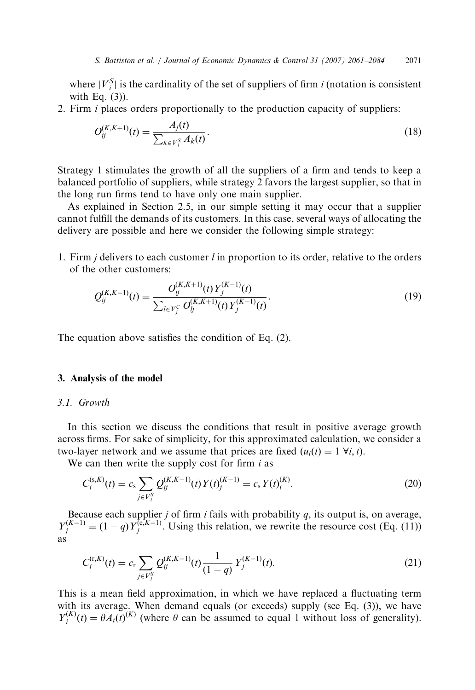where  $|V_i^S|$  is the cardinality of the set of suppliers of firm *i* (notation is consistent with Eq. (3)).

2. Firm i places orders proportionally to the production capacity of suppliers:

$$
O_{ij}^{(K,K+1)}(t) = \frac{A_j(t)}{\sum_{k \in V_j^S} A_k(t)}.
$$
\n(18)

Strategy 1 stimulates the growth of all the suppliers of a firm and tends to keep a balanced portfolio of suppliers, while strategy 2 favors the largest supplier, so that in the long run firms tend to have only one main supplier.

As explained in Section 2.5, in our simple setting it may occur that a supplier cannot fulfill the demands of its customers. In this case, several ways of allocating the delivery are possible and here we consider the following simple strategy:

1. Firm  $j$  delivers to each customer  $l$  in proportion to its order, relative to the orders of the other customers:

$$
Q_{ij}^{(K,K-1)}(t) = \frac{O_{ij}^{(K,K+1)}(t) Y_j^{(K-1)}(t)}{\sum_{l \in V_j^C} O_{lj}^{(K,K+1)}(t) Y_j^{(K-1)}(t)}.
$$
\n(19)

The equation above satisfies the condition of Eq. (2).

## 3. Analysis of the model

#### 3.1. Growth

In this section we discuss the conditions that result in positive average growth across firms. For sake of simplicity, for this approximated calculation, we consider a two-layer network and we assume that prices are fixed  $(u_i(t) = 1 \forall i, t)$ .

We can then write the supply cost for firm  $i$  as

$$
C_i^{(s,K)}(t) = c_s \sum_{j \in V_i^S} Q_{ij}^{(K,K-1)}(t) Y(t)_j^{(K-1)} = c_s Y(t)_i^{(K)}.
$$
\n(20)

Because each supplier  $j$  of firm  $i$  fails with probability  $q$ , its output is, on average,  $Y_j^{(K-1)} = (1-q) Y_j^{(e,K-1)}$ . Using this relation, we rewrite the resource cost (Eq. (11)) as

$$
C_i^{(r,K)}(t) = c_r \sum_{j \in V_i^S} Q_{ij}^{(K,K-1)}(t) \frac{1}{(1-q)} Y_j^{(K-1)}(t).
$$
\n(21)

This is a mean field approximation, in which we have replaced a fluctuating term with its average. When demand equals (or exceeds) supply (see Eq. (3)), we have  $Y_i^{(K)}(t) = \theta A_i(t)^{(K)}$  (where  $\theta$  can be assumed to equal 1 without loss of generality).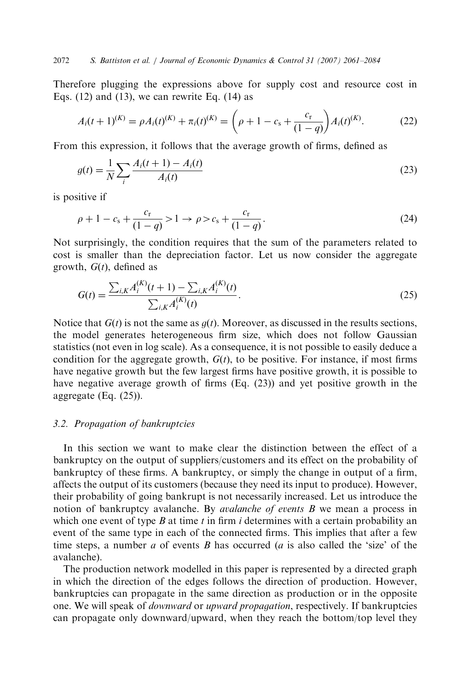Therefore plugging the expressions above for supply cost and resource cost in Eqs.  $(12)$  and  $(13)$ , we can rewrite Eq.  $(14)$  as

$$
A_i(t+1)^{(K)} = \rho A_i(t)^{(K)} + \pi_i(t)^{(K)} = \left(\rho + 1 - c_s + \frac{c_r}{(1-q)}\right) A_i(t)^{(K)}.
$$
 (22)

From this expression, it follows that the average growth of firms, defined as

$$
g(t) = \frac{1}{N} \sum_{i} \frac{A_i(t+1) - A_i(t)}{A_i(t)}
$$
\n(23)

is positive if

$$
\rho + 1 - c_s + \frac{c_r}{(1-q)} > 1 \to \rho > c_s + \frac{c_r}{(1-q)}.
$$
\n(24)

Not surprisingly, the condition requires that the sum of the parameters related to cost is smaller than the depreciation factor. Let us now consider the aggregate growth,  $G(t)$ , defined as

$$
G(t) = \frac{\sum_{i,K} A_i^{(K)}(t+1) - \sum_{i,K} A_i^{(K)}(t)}{\sum_{i,K} A_i^{(K)}(t)}.
$$
\n(25)

Notice that  $G(t)$  is not the same as  $g(t)$ . Moreover, as discussed in the results sections, the model generates heterogeneous firm size, which does not follow Gaussian statistics (not even in log scale). As a consequence, it is not possible to easily deduce a condition for the aggregate growth,  $G(t)$ , to be positive. For instance, if most firms have negative growth but the few largest firms have positive growth, it is possible to have negative average growth of firms (Eq. (23)) and yet positive growth in the aggregate (Eq. (25)).

## 3.2. Propagation of bankruptcies

In this section we want to make clear the distinction between the effect of a bankruptcy on the output of suppliers/customers and its effect on the probability of bankruptcy of these firms. A bankruptcy, or simply the change in output of a firm, affects the output of its customers (because they need its input to produce). However, their probability of going bankrupt is not necessarily increased. Let us introduce the notion of bankruptcy avalanche. By avalanche of events B we mean a process in which one event of type B at time t in firm i determines with a certain probability an event of the same type in each of the connected firms. This implies that after a few time steps, a number a of events B has occurred (a is also called the 'size' of the avalanche).

The production network modelled in this paper is represented by a directed graph in which the direction of the edges follows the direction of production. However, bankruptcies can propagate in the same direction as production or in the opposite one. We will speak of downward or upward propagation, respectively. If bankruptcies can propagate only downward/upward, when they reach the bottom/top level they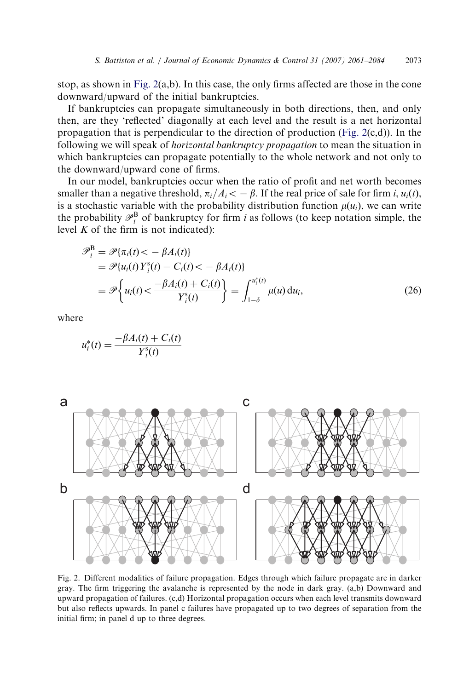stop, as shown in Fig. 2(a,b). In this case, the only firms affected are those in the cone downward/upward of the initial bankruptcies.

If bankruptcies can propagate simultaneously in both directions, then, and only then, are they 'reflected' diagonally at each level and the result is a net horizontal propagation that is perpendicular to the direction of production (Fig. 2(c,d)). In the following we will speak of horizontal bankruptcy propagation to mean the situation in which bankruptcies can propagate potentially to the whole network and not only to the downward/upward cone of firms.

In our model, bankruptcies occur when the ratio of profit and net worth becomes smaller than a negative threshold,  $\pi_i/A_i < -\beta$ . If the real price of sale for firm i,  $u_i(t)$ , is a stochastic variable with the probability distribution function  $\mu(u_i)$ , we can write the probability  $\mathcal{P}_i^{\text{B}}$  of bankruptcy for firm *i* as follows (to keep notation simple, the level  $K$  of the firm is not indicated):

$$
\mathscr{P}_{i}^{\mathcal{B}} = \mathscr{P}\{\pi_{i}(t) < -\beta A_{i}(t)\} \\
= \mathscr{P}\{u_{i}(t)Y_{i}^{s}(t) - C_{i}(t) < -\beta A_{i}(t)\} \\
= \mathscr{P}\left\{u_{i}(t) < \frac{-\beta A_{i}(t) + C_{i}(t)}{Y_{i}^{s}(t)}\right\} = \int_{1-\delta}^{u_{i}^{s}(t)} \mu(u) \, \mathrm{d}u_{i},\n\tag{26}
$$

where

$$
u_i^*(t) = \frac{-\beta A_i(t) + C_i(t)}{Y_i^s(t)}
$$



Fig. 2. Different modalities of failure propagation. Edges through which failure propagate are in darker gray. The firm triggering the avalanche is represented by the node in dark gray. (a,b) Downward and upward propagation of failures. (c,d) Horizontal propagation occurs when each level transmits downward but also reflects upwards. In panel c failures have propagated up to two degrees of separation from the initial firm; in panel d up to three degrees.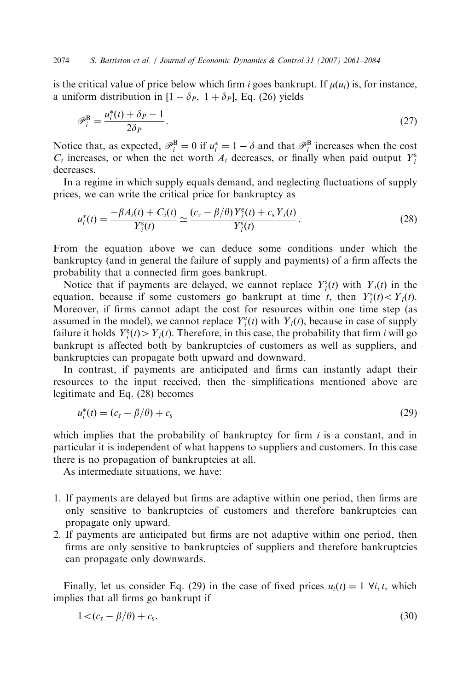is the critical value of price below which firm *i* goes bankrupt. If  $\mu(u_i)$  is, for instance, a uniform distribution in  $[1 - \delta_P, 1 + \delta_P]$ , Eq. (26) yields

$$
\mathscr{P}_i^{\mathbf{B}} = \frac{u_i^*(t) + \delta_P - 1}{2\delta_P}.
$$
\n
$$
(27)
$$

Notice that, as expected,  $\mathcal{P}_i^{\text{B}} = 0$  if  $u_i^* = 1 - \delta$  and that  $\mathcal{P}_i^{\text{B}}$  increases when the cost  $C_i$  increases, or when the net worth  $A_i$  decreases, or finally when paid output  $Y_i^s$ decreases.

In a regime in which supply equals demand, and neglecting fluctuations of supply prices, we can write the critical price for bankruptcy as

$$
u_i^*(t) = \frac{-\beta A_i(t) + C_i(t)}{Y_i^s(t)} \simeq \frac{(c_r - \beta/\theta) Y_i^s(t) + c_s Y_i(t)}{Y_i^s(t)}.
$$
\n(28)

From the equation above we can deduce some conditions under which the bankruptcy (and in general the failure of supply and payments) of a firm affects the probability that a connected firm goes bankrupt.

Notice that if payments are delayed, we cannot replace  $Y_i^s(t)$  with  $Y_i(t)$  in the equation, because if some customers go bankrupt at time t, then  $Y_i^s(t) < Y_i(t)$ . Moreover, if firms cannot adapt the cost for resources within one time step (as assumed in the model), we cannot replace  $Y_i^e(t)$  with  $Y_i(t)$ , because in case of supply failure it holds  $Y_i^e(t) > Y_i(t)$ . Therefore, in this case, the probability that firm *i* will go bankrupt is affected both by bankruptcies of customers as well as suppliers, and bankruptcies can propagate both upward and downward.

In contrast, if payments are anticipated and firms can instantly adapt their resources to the input received, then the simplifications mentioned above are legitimate and Eq. (28) becomes

$$
u_i^*(t) = (c_r - \beta/\theta) + c_s \tag{29}
$$

which implies that the probability of bankruptcy for firm  $i$  is a constant, and in particular it is independent of what happens to suppliers and customers. In this case there is no propagation of bankruptcies at all.

As intermediate situations, we have:

- 1. If payments are delayed but firms are adaptive within one period, then firms are only sensitive to bankruptcies of customers and therefore bankruptcies can propagate only upward.
- 2. If payments are anticipated but firms are not adaptive within one period, then firms are only sensitive to bankruptcies of suppliers and therefore bankruptcies can propagate only downwards.

Finally, let us consider Eq. (29) in the case of fixed prices  $u_i(t) = 1$   $\forall i, t$ , which implies that all firms go bankrupt if

$$
1 < (cr - \beta/\theta) + cs.
$$
\n(30)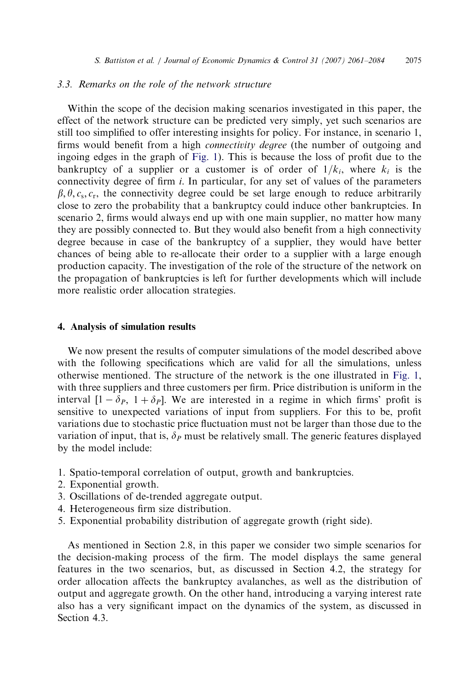#### 3.3. Remarks on the role of the network structure

Within the scope of the decision making scenarios investigated in this paper, the effect of the network structure can be predicted very simply, yet such scenarios are still too simplified to offer interesting insights for policy. For instance, in scenario 1, firms would benefit from a high connectivity degree (the number of outgoing and ingoing edges in the graph of [Fig. 1\)](#page-4-0). This is because the loss of profit due to the bankruptcy of a supplier or a customer is of order of  $1/k_i$ , where  $k_i$  is the connectivity degree of firm  $i$ . In particular, for any set of values of the parameters  $\beta$ ,  $\theta$ ,  $c_s$ ,  $c_r$ , the connectivity degree could be set large enough to reduce arbitrarily close to zero the probability that a bankruptcy could induce other bankruptcies. In scenario 2, firms would always end up with one main supplier, no matter how many they are possibly connected to. But they would also benefit from a high connectivity degree because in case of the bankruptcy of a supplier, they would have better chances of being able to re-allocate their order to a supplier with a large enough production capacity. The investigation of the role of the structure of the network on the propagation of bankruptcies is left for further developments which will include more realistic order allocation strategies.

#### 4. Analysis of simulation results

We now present the results of computer simulations of the model described above with the following specifications which are valid for all the simulations, unless otherwise mentioned. The structure of the network is the one illustrated in [Fig. 1,](#page-4-0) with three suppliers and three customers per firm. Price distribution is uniform in the interval  $[1 - \delta_P, 1 + \delta_P]$ . We are interested in a regime in which firms' profit is sensitive to unexpected variations of input from suppliers. For this to be, profit variations due to stochastic price fluctuation must not be larger than those due to the variation of input, that is,  $\delta_P$  must be relatively small. The generic features displayed by the model include:

- 1. Spatio-temporal correlation of output, growth and bankruptcies.
- 2. Exponential growth.
- 3. Oscillations of de-trended aggregate output.
- 4. Heterogeneous firm size distribution.
- 5. Exponential probability distribution of aggregate growth (right side).

As mentioned in Section 2.8, in this paper we consider two simple scenarios for the decision-making process of the firm. The model displays the same general features in the two scenarios, but, as discussed in Section 4.2, the strategy for order allocation affects the bankruptcy avalanches, as well as the distribution of output and aggregate growth. On the other hand, introducing a varying interest rate also has a very significant impact on the dynamics of the system, as discussed in Section 4.3.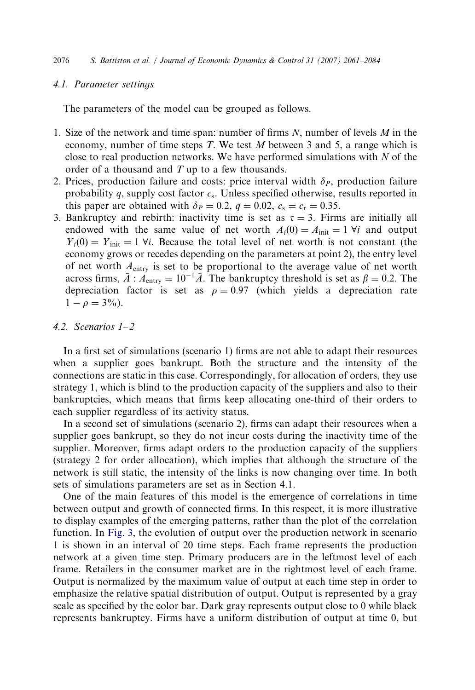#### 4.1. Parameter settings

The parameters of the model can be grouped as follows.

- 1. Size of the network and time span: number of firms  $N$ , number of levels  $M$  in the economy, number of time steps T. We test  $M$  between 3 and 5, a range which is close to real production networks. We have performed simulations with  $N$  of the order of a thousand and T up to a few thousands.
- 2. Prices, production failure and costs: price interval width  $\delta_p$ , production failure probability q, supply cost factor  $c_s$ . Unless specified otherwise, results reported in this paper are obtained with  $\delta_P = 0.2$ ,  $q = 0.02$ ,  $c_s = c_r = 0.35$ .
- 3. Bankruptcy and rebirth: inactivity time is set as  $\tau = 3$ . Firms are initially all endowed with the same value of net worth  $A_i(0) = A_{\text{init}} = 1$   $\forall i$  and output  $Y_i(0) = Y_{\text{init}} = 1$   $\forall i$ . Because the total level of net worth is not constant (the economy grows or recedes depending on the parameters at point 2), the entry level of net worth  $A<sub>entry</sub>$  is set to be proportional to the average value of net worth across firms,  $\bar{A}$  :  $A_{\text{entry}} = 10^{-1} \bar{A}$ . The bankruptcy threshold is set as  $\beta = 0.2$ . The depreciation factor is set as  $\rho = 0.97$  (which yields a depreciation rate  $1 - \rho = 3\%$ ).

#### 4.2. Scenarios  $1-2$

In a first set of simulations (scenario 1) firms are not able to adapt their resources when a supplier goes bankrupt. Both the structure and the intensity of the connections are static in this case. Correspondingly, for allocation of orders, they use strategy 1, which is blind to the production capacity of the suppliers and also to their bankruptcies, which means that firms keep allocating one-third of their orders to each supplier regardless of its activity status.

In a second set of simulations (scenario 2), firms can adapt their resources when a supplier goes bankrupt, so they do not incur costs during the inactivity time of the supplier. Moreover, firms adapt orders to the production capacity of the suppliers (strategy 2 for order allocation), which implies that although the structure of the network is still static, the intensity of the links is now changing over time. In both sets of simulations parameters are set as in Section 4.1.

One of the main features of this model is the emergence of correlations in time between output and growth of connected firms. In this respect, it is more illustrative to display examples of the emerging patterns, rather than the plot of the correlation function. In [Fig. 3,](#page-16-0) the evolution of output over the production network in scenario 1 is shown in an interval of 20 time steps. Each frame represents the production network at a given time step. Primary producers are in the leftmost level of each frame. Retailers in the consumer market are in the rightmost level of each frame. Output is normalized by the maximum value of output at each time step in order to emphasize the relative spatial distribution of output. Output is represented by a gray scale as specified by the color bar. Dark gray represents output close to 0 while black represents bankruptcy. Firms have a uniform distribution of output at time 0, but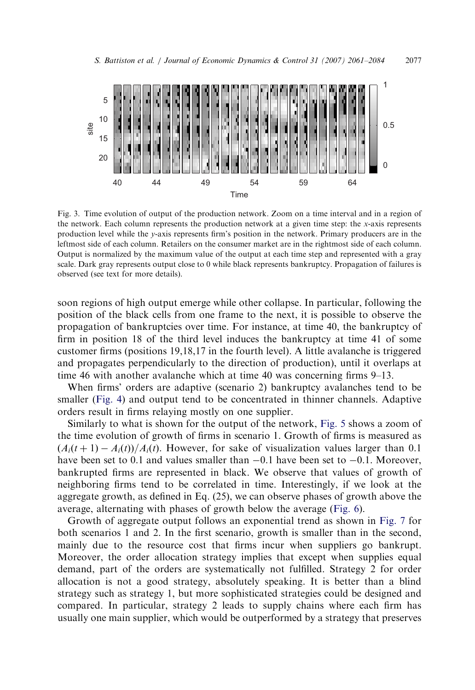<span id="page-16-0"></span>

Fig. 3. Time evolution of output of the production network. Zoom on a time interval and in a region of the network. Each column represents the production network at a given time step: the x-axis represents production level while the y-axis represents firm's position in the network. Primary producers are in the leftmost side of each column. Retailers on the consumer market are in the rightmost side of each column. Output is normalized by the maximum value of the output at each time step and represented with a gray scale. Dark gray represents output close to 0 while black represents bankruptcy. Propagation of failures is observed (see text for more details).

soon regions of high output emerge while other collapse. In particular, following the position of the black cells from one frame to the next, it is possible to observe the propagation of bankruptcies over time. For instance, at time 40, the bankruptcy of firm in position 18 of the third level induces the bankruptcy at time 41 of some customer firms (positions 19,18,17 in the fourth level). A little avalanche is triggered and propagates perpendicularly to the direction of production), until it overlaps at time 46 with another avalanche which at time 40 was concerning firms 9–13.

When firms' orders are adaptive (scenario 2) bankruptcy avalanches tend to be smaller [\(Fig. 4](#page-17-0)) and output tend to be concentrated in thinner channels. Adaptive orders result in firms relaying mostly on one supplier.

Similarly to what is shown for the output of the network, [Fig. 5](#page-17-0) shows a zoom of the time evolution of growth of firms in scenario 1. Growth of firms is measured as  $(A_i(t+1) - A_i(t))/A_i(t)$ . However, for sake of visualization values larger than 0.1 have been set to  $0.1$  and values smaller than  $-0.1$  have been set to  $-0.1$ . Moreover, bankrupted firms are represented in black. We observe that values of growth of neighboring firms tend to be correlated in time. Interestingly, if we look at the aggregate growth, as defined in Eq. (25), we can observe phases of growth above the average, alternating with phases of growth below the average [\(Fig. 6\)](#page-17-0).

Growth of aggregate output follows an exponential trend as shown in [Fig. 7](#page-18-0) for both scenarios 1 and 2. In the first scenario, growth is smaller than in the second, mainly due to the resource cost that firms incur when suppliers go bankrupt. Moreover, the order allocation strategy implies that except when supplies equal demand, part of the orders are systematically not fulfilled. Strategy 2 for order allocation is not a good strategy, absolutely speaking. It is better than a blind strategy such as strategy 1, but more sophisticated strategies could be designed and compared. In particular, strategy 2 leads to supply chains where each firm has usually one main supplier, which would be outperformed by a strategy that preserves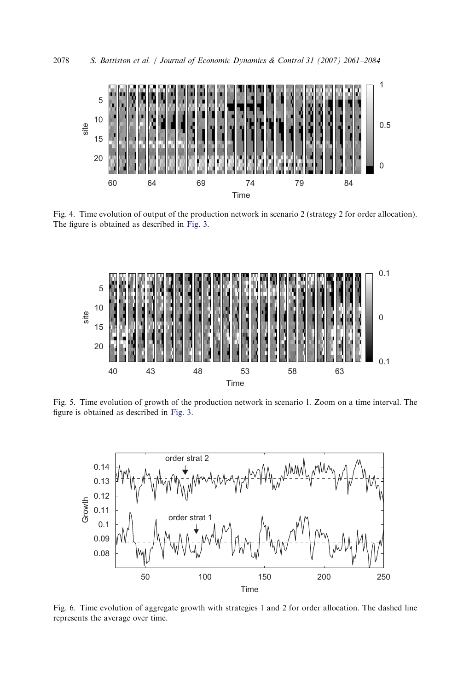<span id="page-17-0"></span>

Fig. 4. Time evolution of output of the production network in scenario 2 (strategy 2 for order allocation). The figure is obtained as described in [Fig. 3](#page-16-0).



Fig. 5. Time evolution of growth of the production network in scenario 1. Zoom on a time interval. The figure is obtained as described in [Fig. 3](#page-16-0).



Fig. 6. Time evolution of aggregate growth with strategies 1 and 2 for order allocation. The dashed line represents the average over time.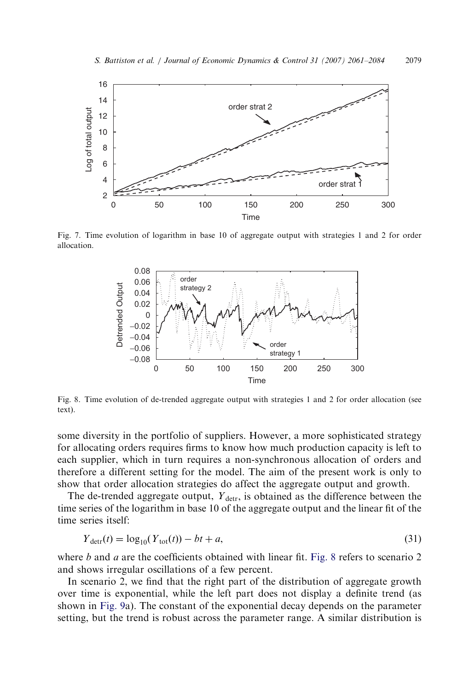<span id="page-18-0"></span>

Fig. 7. Time evolution of logarithm in base 10 of aggregate output with strategies 1 and 2 for order allocation.



Fig. 8. Time evolution of de-trended aggregate output with strategies 1 and 2 for order allocation (see text).

some diversity in the portfolio of suppliers. However, a more sophisticated strategy for allocating orders requires firms to know how much production capacity is left to each supplier, which in turn requires a non-synchronous allocation of orders and therefore a different setting for the model. The aim of the present work is only to show that order allocation strategies do affect the aggregate output and growth.

The de-trended aggregate output,  $Y_{\text{detr}}$ , is obtained as the difference between the time series of the logarithm in base 10 of the aggregate output and the linear fit of the time series itself:

$$
Y_{\text{detr}}(t) = \log_{10}(Y_{\text{tot}}(t)) - bt + a,\tag{31}
$$

where  $b$  and  $a$  are the coefficients obtained with linear fit. Fig. 8 refers to scenario 2 and shows irregular oscillations of a few percent.

In scenario 2, we find that the right part of the distribution of aggregate growth over time is exponential, while the left part does not display a definite trend (as shown in [Fig. 9](#page-19-0)a). The constant of the exponential decay depends on the parameter setting, but the trend is robust across the parameter range. A similar distribution is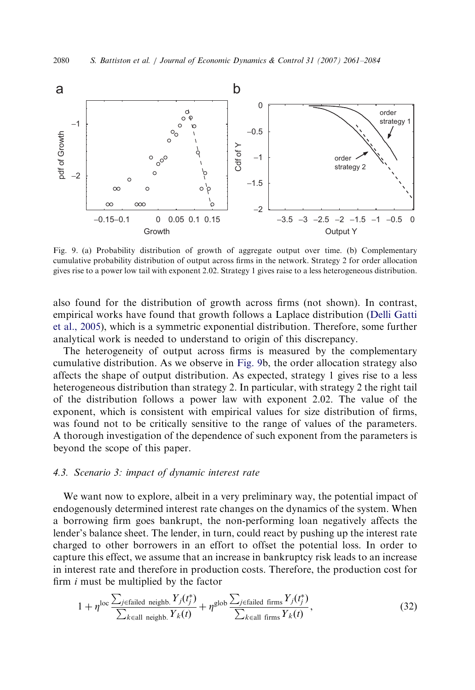<span id="page-19-0"></span>

Fig. 9. (a) Probability distribution of growth of aggregate output over time. (b) Complementary cumulative probability distribution of output across firms in the network. Strategy 2 for order allocation gives rise to a power low tail with exponent 2.02. Strategy 1 gives raise to a less heterogeneous distribution.

also found for the distribution of growth across firms (not shown). In contrast, empirical works have found that growth follows a Laplace distribution ([Delli Gatti](#page-22-0) [et al., 2005](#page-22-0)), which is a symmetric exponential distribution. Therefore, some further analytical work is needed to understand to origin of this discrepancy.

The heterogeneity of output across firms is measured by the complementary cumulative distribution. As we observe in Fig. 9b, the order allocation strategy also affects the shape of output distribution. As expected, strategy 1 gives rise to a less heterogeneous distribution than strategy 2. In particular, with strategy 2 the right tail of the distribution follows a power law with exponent 2.02. The value of the exponent, which is consistent with empirical values for size distribution of firms, was found not to be critically sensitive to the range of values of the parameters. A thorough investigation of the dependence of such exponent from the parameters is beyond the scope of this paper.

## 4.3. Scenario 3: impact of dynamic interest rate

We want now to explore, albeit in a very preliminary way, the potential impact of endogenously determined interest rate changes on the dynamics of the system. When a borrowing firm goes bankrupt, the non-performing loan negatively affects the lender's balance sheet. The lender, in turn, could react by pushing up the interest rate charged to other borrowers in an effort to offset the potential loss. In order to capture this effect, we assume that an increase in bankruptcy risk leads to an increase in interest rate and therefore in production costs. Therefore, the production cost for firm  $i$  must be multiplied by the factor

$$
1 + \eta^{\text{loc}} \frac{\sum_{j \in \text{failed neighbor}} Y_j(t_j^*)}{\sum_{k \in \text{all neighbor}} Y_k(t)} + \eta^{\text{glob}} \frac{\sum_{j \in \text{failed firms}} Y_j(t_j^*)}{\sum_{k \in \text{all firms}} Y_k(t)},
$$
\n(32)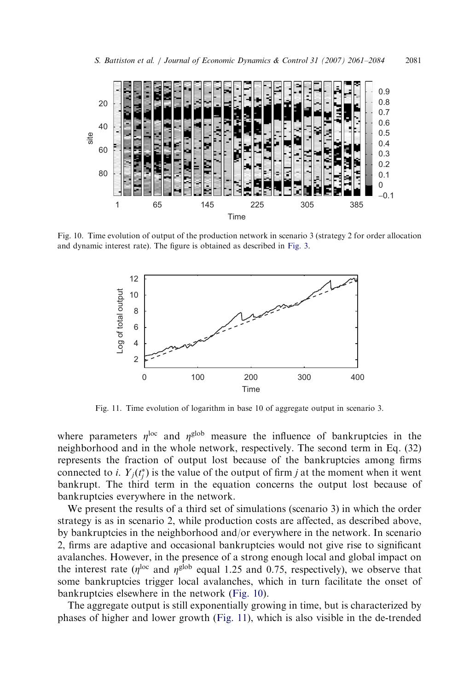

Fig. 10. Time evolution of output of the production network in scenario 3 (strategy 2 for order allocation and dynamic interest rate). The figure is obtained as described in [Fig. 3.](#page-16-0)



Fig. 11. Time evolution of logarithm in base 10 of aggregate output in scenario 3.

where parameters  $\eta^{\rm loc}$  and  $\eta^{\rm glob}$  measure the influence of bankruptcies in the neighborhood and in the whole network, respectively. The second term in Eq. (32) represents the fraction of output lost because of the bankruptcies among firms connected to *i*.  $Y_j(t_j^*)$  is the value of the output of firm *j* at the moment when it went bankrupt. The third term in the equation concerns the output lost because of bankruptcies everywhere in the network.

We present the results of a third set of simulations (scenario 3) in which the order strategy is as in scenario 2, while production costs are affected, as described above, by bankruptcies in the neighborhood and/or everywhere in the network. In scenario 2, firms are adaptive and occasional bankruptcies would not give rise to significant avalanches. However, in the presence of a strong enough local and global impact on the interest rate ( $\eta^{\text{loc}}$  and  $\eta^{\text{glob}}$  equal 1.25 and 0.75, respectively), we observe that some bankruptcies trigger local avalanches, which in turn facilitate the onset of bankruptcies elsewhere in the network (Fig. 10).

The aggregate output is still exponentially growing in time, but is characterized by phases of higher and lower growth (Fig. 11), which is also visible in the de-trended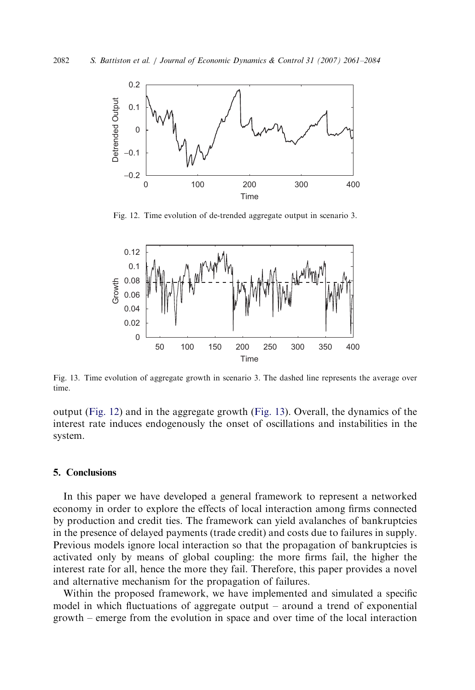

Fig. 12. Time evolution of de-trended aggregate output in scenario 3.



Fig. 13. Time evolution of aggregate growth in scenario 3. The dashed line represents the average over time.

output (Fig. 12) and in the aggregate growth (Fig. 13). Overall, the dynamics of the interest rate induces endogenously the onset of oscillations and instabilities in the system.

## 5. Conclusions

In this paper we have developed a general framework to represent a networked economy in order to explore the effects of local interaction among firms connected by production and credit ties. The framework can yield avalanches of bankruptcies in the presence of delayed payments (trade credit) and costs due to failures in supply. Previous models ignore local interaction so that the propagation of bankruptcies is activated only by means of global coupling: the more firms fail, the higher the interest rate for all, hence the more they fail. Therefore, this paper provides a novel and alternative mechanism for the propagation of failures.

Within the proposed framework, we have implemented and simulated a specific model in which fluctuations of aggregate output – around a trend of exponential growth – emerge from the evolution in space and over time of the local interaction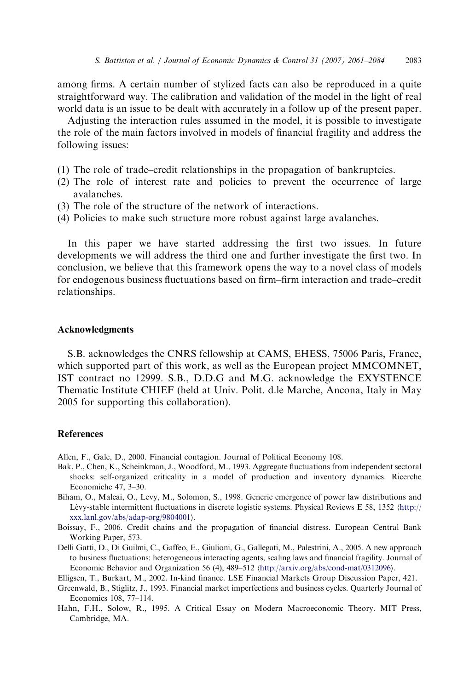<span id="page-22-0"></span>among firms. A certain number of stylized facts can also be reproduced in a quite straightforward way. The calibration and validation of the model in the light of real world data is an issue to be dealt with accurately in a follow up of the present paper.

Adjusting the interaction rules assumed in the model, it is possible to investigate the role of the main factors involved in models of financial fragility and address the following issues:

- (1) The role of trade–credit relationships in the propagation of bankruptcies.
- (2) The role of interest rate and policies to prevent the occurrence of large avalanches.
- (3) The role of the structure of the network of interactions.
- (4) Policies to make such structure more robust against large avalanches.

In this paper we have started addressing the first two issues. In future developments we will address the third one and further investigate the first two. In conclusion, we believe that this framework opens the way to a novel class of models for endogenous business fluctuations based on firm–firm interaction and trade–credit relationships.

#### Acknowledgments

S.B. acknowledges the CNRS fellowship at CAMS, EHESS, 75006 Paris, France, which supported part of this work, as well as the European project MMCOMNET, IST contract no 12999. S.B., D.D.G and M.G. acknowledge the EXYSTENCE Thematic Institute CHIEF (held at Univ. Polit. d.le Marche, Ancona, Italy in May 2005 for supporting this collaboration).

#### **References**

Allen, F., Gale, D., 2000. Financial contagion. Journal of Political Economy 108.

- Bak, P., Chen, K., Scheinkman, J., Woodford, M., 1993. Aggregate fluctuations from independent sectoral shocks: self-organized criticality in a model of production and inventory dynamics. Ricerche Economiche 47, 3–30.
- Biham, O., Malcai, O., Levy, M., Solomon, S., 1998. Generic emergence of power law distributions and Lévy-stable intermittent fluctuations in discrete logistic systems. Physical Reviews E 58, 1352 ([http://](http://xxx.lanl.gov/abs/adap-org/9804001)  $xxx.lanl.gov/abs/adap-org/9804001$ .
- Boissay, F., 2006. Credit chains and the propagation of financial distress. European Central Bank Working Paper, 573.
- Delli Gatti, D., Di Guilmi, C., Gaffeo, E., Giulioni, G., Gallegati, M., Palestrini, A., 2005. A new approach to business fluctuations: heterogeneous interacting agents, scaling laws and financial fragility. Journal of Economic Behavior and Organization 56 (4),  $489-512$  (<http://arxiv.org/abs/cond-mat/0312096>).
- Elligsen, T., Burkart, M., 2002. In-kind finance. LSE Financial Markets Group Discussion Paper, 421.
- Greenwald, B., Stiglitz, J., 1993. Financial market imperfections and business cycles. Quarterly Journal of Economics 108, 77–114.
- Hahn, F.H., Solow, R., 1995. A Critical Essay on Modern Macroeconomic Theory. MIT Press, Cambridge, MA.